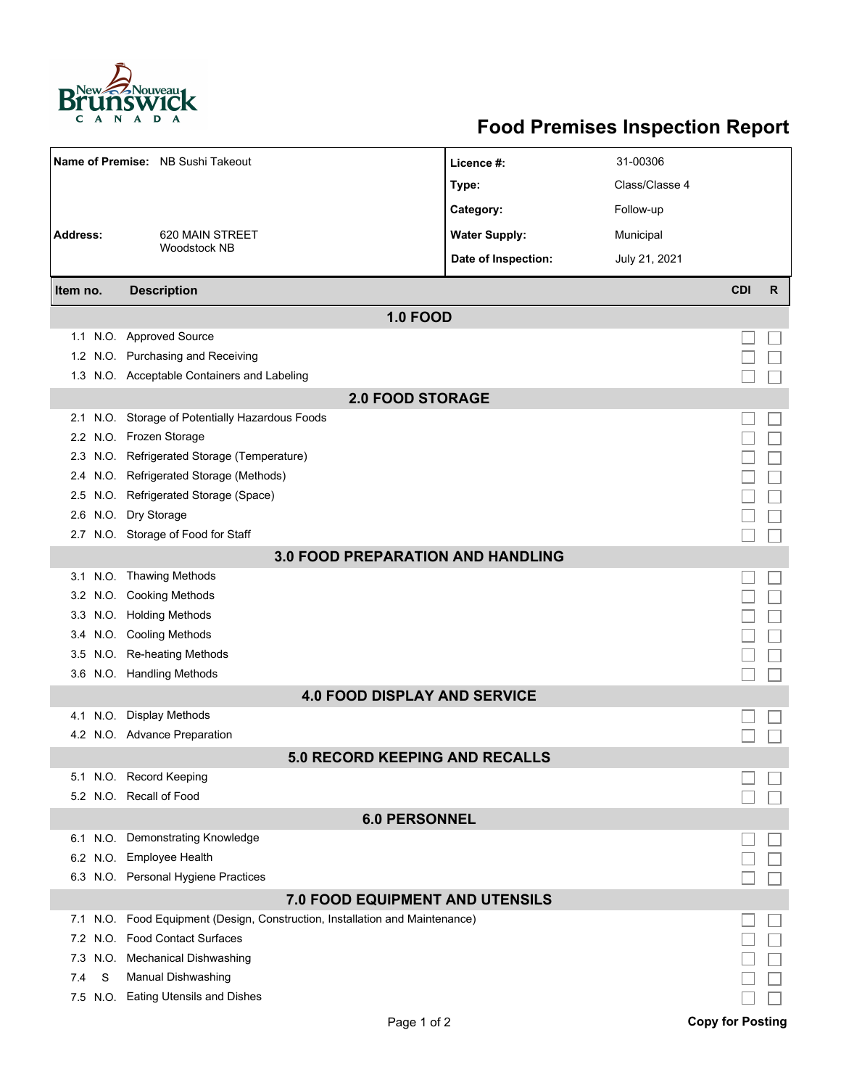

## **Food Premises Inspection Report**

|                                       | Name of Premise: NB Sushi Takeout                                            | Licence #:           | 31-00306       |                         |   |  |  |  |
|---------------------------------------|------------------------------------------------------------------------------|----------------------|----------------|-------------------------|---|--|--|--|
|                                       |                                                                              | Type:                | Class/Classe 4 |                         |   |  |  |  |
|                                       |                                                                              | Category:            | Follow-up      |                         |   |  |  |  |
| Address:                              | 620 MAIN STREET                                                              | <b>Water Supply:</b> | Municipal      |                         |   |  |  |  |
|                                       | <b>Woodstock NB</b>                                                          | Date of Inspection:  | July 21, 2021  |                         |   |  |  |  |
| Item no.                              | <b>Description</b>                                                           |                      |                | <b>CDI</b>              | R |  |  |  |
| <b>1.0 FOOD</b>                       |                                                                              |                      |                |                         |   |  |  |  |
|                                       | 1.1 N.O. Approved Source                                                     |                      |                |                         |   |  |  |  |
|                                       | 1.2 N.O. Purchasing and Receiving                                            |                      |                |                         |   |  |  |  |
|                                       | 1.3 N.O. Acceptable Containers and Labeling                                  |                      |                |                         |   |  |  |  |
| <b>2.0 FOOD STORAGE</b>               |                                                                              |                      |                |                         |   |  |  |  |
|                                       | 2.1 N.O. Storage of Potentially Hazardous Foods                              |                      |                |                         |   |  |  |  |
|                                       | 2.2 N.O. Frozen Storage                                                      |                      |                |                         |   |  |  |  |
|                                       | 2.3 N.O. Refrigerated Storage (Temperature)                                  |                      |                |                         |   |  |  |  |
|                                       | 2.4 N.O. Refrigerated Storage (Methods)                                      |                      |                |                         |   |  |  |  |
|                                       | 2.5 N.O. Refrigerated Storage (Space)                                        |                      |                |                         |   |  |  |  |
|                                       | 2.6 N.O. Dry Storage                                                         |                      |                |                         |   |  |  |  |
|                                       | 2.7 N.O. Storage of Food for Staff                                           |                      |                |                         |   |  |  |  |
|                                       | <b>3.0 FOOD PREPARATION AND HANDLING</b>                                     |                      |                |                         |   |  |  |  |
|                                       | 3.1 N.O. Thawing Methods                                                     |                      |                |                         |   |  |  |  |
|                                       | 3.2 N.O. Cooking Methods                                                     |                      |                |                         |   |  |  |  |
|                                       | 3.3 N.O. Holding Methods                                                     |                      |                |                         |   |  |  |  |
|                                       | 3.4 N.O. Cooling Methods                                                     |                      |                |                         |   |  |  |  |
|                                       | 3.5 N.O. Re-heating Methods                                                  |                      |                |                         |   |  |  |  |
|                                       | 3.6 N.O. Handling Methods                                                    |                      |                |                         |   |  |  |  |
| <b>4.0 FOOD DISPLAY AND SERVICE</b>   |                                                                              |                      |                |                         |   |  |  |  |
|                                       | 4.1 N.O. Display Methods                                                     |                      |                |                         |   |  |  |  |
|                                       | 4.2 N.O. Advance Preparation                                                 |                      |                |                         |   |  |  |  |
| <b>5.0 RECORD KEEPING AND RECALLS</b> |                                                                              |                      |                |                         |   |  |  |  |
|                                       | 5.1 N.O. Record Keeping                                                      |                      |                |                         |   |  |  |  |
|                                       | 5.2 N.O. Recall of Food                                                      |                      |                |                         |   |  |  |  |
| <b>6.0 PERSONNEL</b>                  |                                                                              |                      |                |                         |   |  |  |  |
|                                       | 6.1 N.O. Demonstrating Knowledge                                             |                      |                |                         |   |  |  |  |
|                                       | 6.2 N.O. Employee Health                                                     |                      |                |                         |   |  |  |  |
|                                       | 6.3 N.O. Personal Hygiene Practices                                          |                      |                |                         |   |  |  |  |
| 7.0 FOOD EQUIPMENT AND UTENSILS       |                                                                              |                      |                |                         |   |  |  |  |
|                                       | 7.1 N.O. Food Equipment (Design, Construction, Installation and Maintenance) |                      |                |                         |   |  |  |  |
|                                       | 7.2 N.O. Food Contact Surfaces                                               |                      |                |                         |   |  |  |  |
| 7.3<br>N.O.                           | Mechanical Dishwashing                                                       |                      |                |                         |   |  |  |  |
| S<br>7.4                              | Manual Dishwashing                                                           |                      |                |                         |   |  |  |  |
|                                       | 7.5 N.O. Eating Utensils and Dishes                                          |                      |                |                         |   |  |  |  |
|                                       | Page 1 of 2                                                                  |                      |                | <b>Copy for Posting</b> |   |  |  |  |